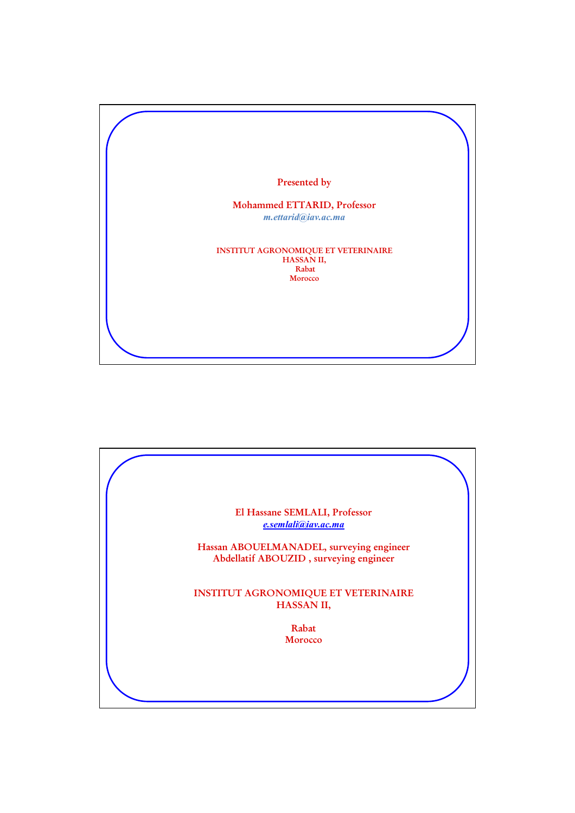

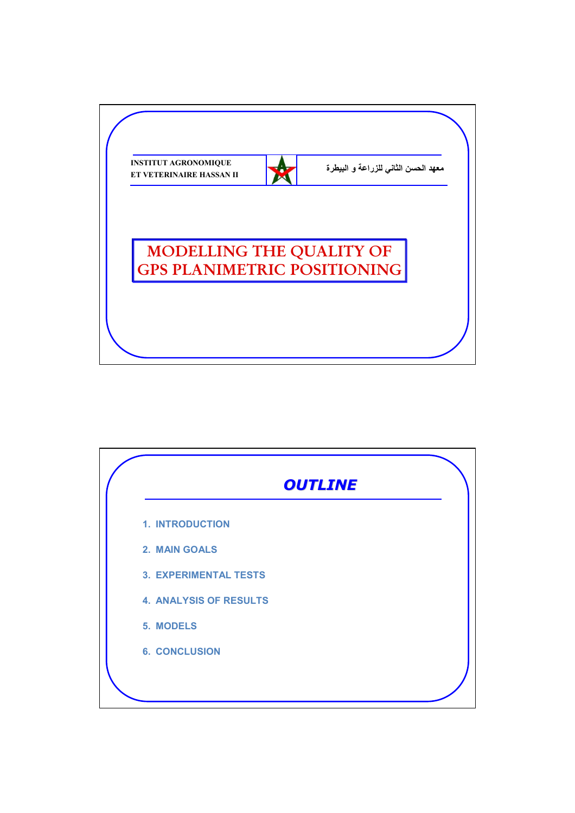

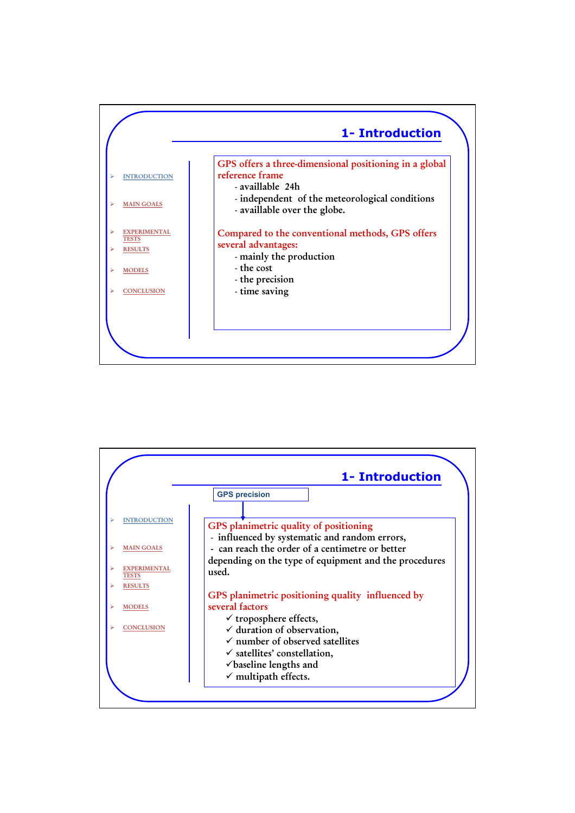

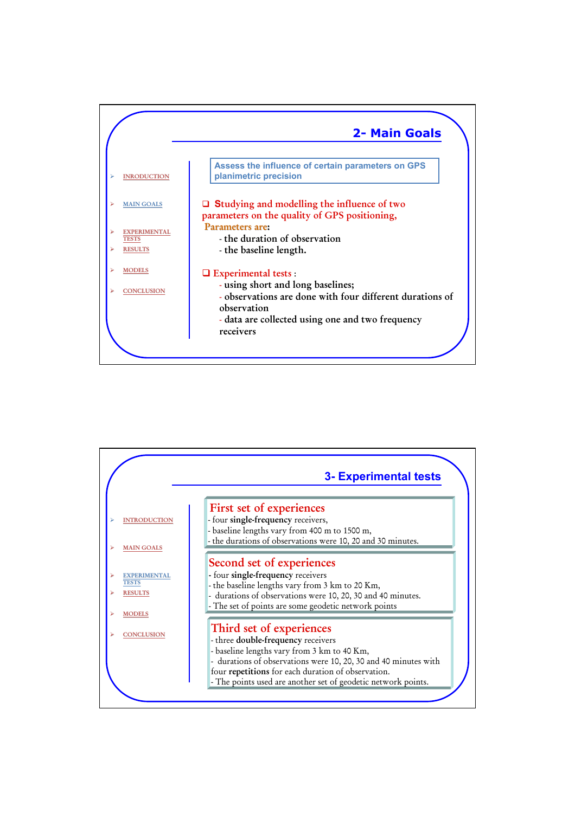

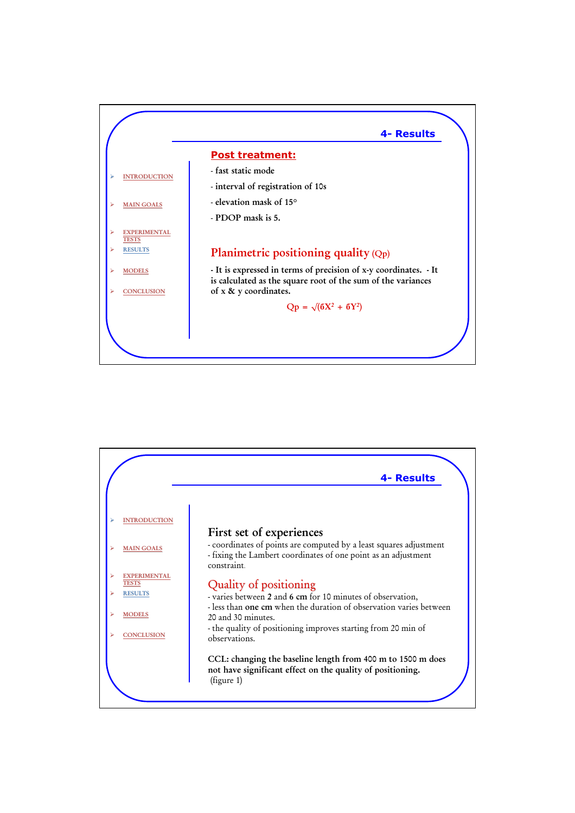

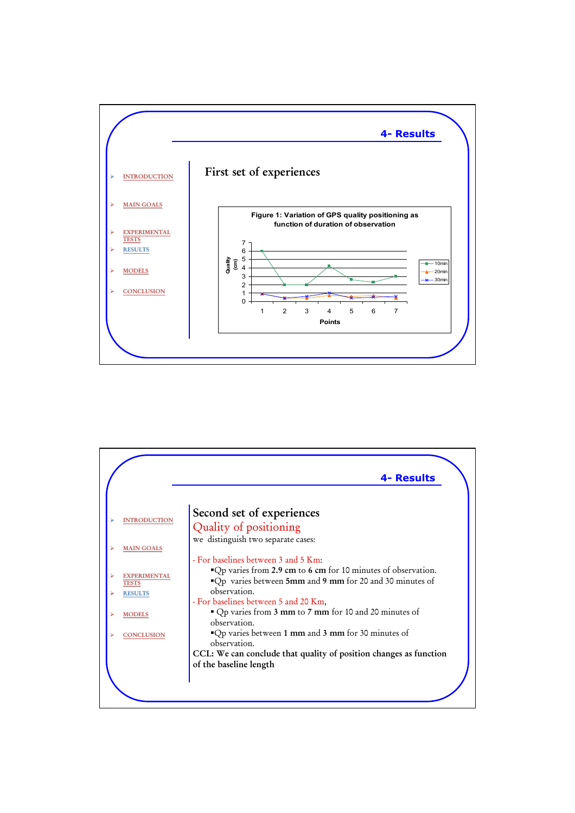

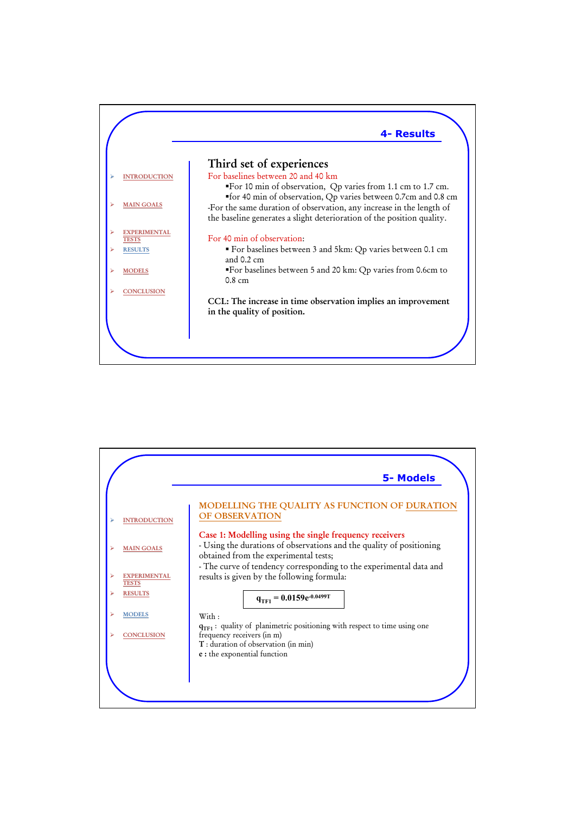

|                                                       | <b>5- Models</b>                                                                                                                                                                                                                              |
|-------------------------------------------------------|-----------------------------------------------------------------------------------------------------------------------------------------------------------------------------------------------------------------------------------------------|
| <b>INTRODUCTION</b>                                   | MODELLING THE QUALITY AS FUNCTION OF DURATION<br><b>OF OBSERVATION</b>                                                                                                                                                                        |
| <b>MAIN GOALS</b>                                     | Case 1: Modelling using the single frequency receivers<br>- Using the durations of observations and the quality of positioning<br>obtained from the experimental tests;<br>- The curve of tendency corresponding to the experimental data and |
| <b>EXPERIMENTAL</b><br><b>TESTS</b><br><b>RESULTS</b> | results is given by the following formula:<br>$q_{TF1} = 0.0159e^{-0.0499T}$                                                                                                                                                                  |
| <b>MODELS</b>                                         | With:                                                                                                                                                                                                                                         |
| <b>CONCLUSION</b>                                     | $q_{TF1}$ : quality of planimetric positioning with respect to time using one<br>frequency receivers (in m)<br>T: duration of observation (in min)<br>e : the exponential function                                                            |
|                                                       |                                                                                                                                                                                                                                               |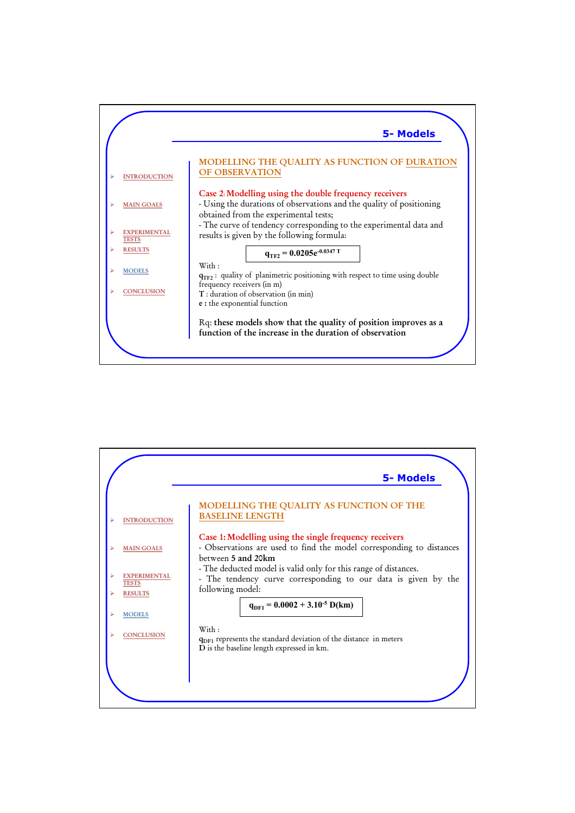|                                     | <b>5-Models</b>                                                                                                                                                         |
|-------------------------------------|-------------------------------------------------------------------------------------------------------------------------------------------------------------------------|
| <b>INTRODUCTION</b>                 | MODELLING THE QUALITY AS FUNCTION OF DURATION<br><b>OF OBSERVATION</b>                                                                                                  |
| <b>MAIN GOALS</b>                   | Case 2. Modelling using the double frequency receivers<br>- Using the durations of observations and the quality of positioning<br>obtained from the experimental tests; |
| <b>EXPERIMENTAL</b><br><b>TESTS</b> | - The curve of tendency corresponding to the experimental data and<br>results is given by the following formula:                                                        |
| <b>RESULTS</b>                      | $q_{TF2} = 0.0205e^{-0.0347 T}$                                                                                                                                         |
| <b>MODELS</b>                       | $W$ ith :<br>$q_{TF2}$ : quality of planimetric positioning with respect to time using double                                                                           |
| <b>CONCLUSION</b>                   | frequency receivers (in m)<br>T: duration of observation (in min)<br>e : the exponential function                                                                       |
|                                     | Rq: these models show that the quality of position improves as a<br>function of the increase in the duration of observation                                             |
|                                     |                                                                                                                                                                         |

|                                                       | <b>5-Models</b>                                                                                                                                       |
|-------------------------------------------------------|-------------------------------------------------------------------------------------------------------------------------------------------------------|
| <b>INTRODUCTION</b>                                   | MODELLING THE QUALITY AS FUNCTION OF THE<br><b>BASELINE LENGTH</b>                                                                                    |
| <b>MAIN GOALS</b>                                     | Case 1: Modelling using the single frequency receivers<br>- Observations are used to find the model corresponding to distances<br>between 5 and 20km  |
| <b>EXPERIMENTAL</b><br><b>TESTS</b><br><b>RESULTS</b> | - The deducted model is valid only for this range of distances.<br>- The tendency curve corresponding to our data is given by the<br>following model: |
| <b>MODELS</b>                                         | $q_{DE1} = 0.0002 + 3.10^{-5}$ D(km)                                                                                                                  |
| <b>CONCLUSION</b>                                     | With:<br>$q_{\text{DF1}}$ represents the standard deviation of the distance in meters<br>D is the baseline length expressed in km.                    |
|                                                       |                                                                                                                                                       |
|                                                       |                                                                                                                                                       |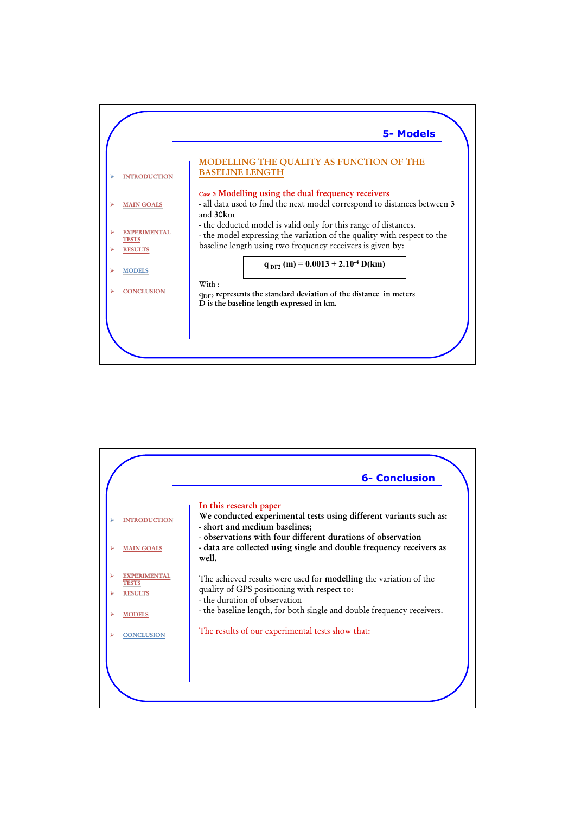